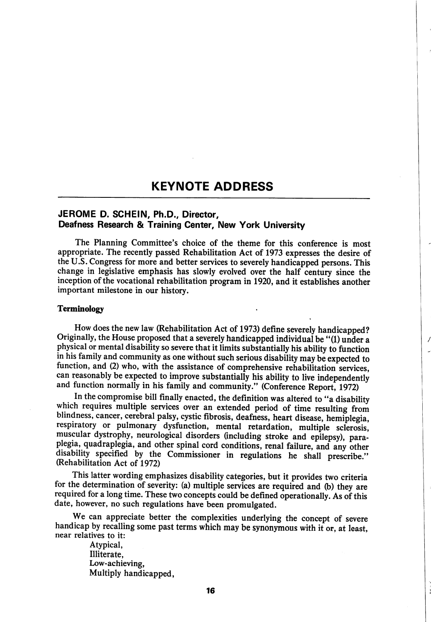# KEYNOTE ADDRESS

# JEROME D. SCHEIN, Ph.D., Director, Deafness Research & Training Center, New York University

The Planning Committee's choice of the theme for this conference is most appropriate. The recently passed Rehabilitation Act of 1973 expresses the desire of the U.S. Congress for more and better services to severely handicapped persons. This change in legislative emphasis has slowly evolved over the half century since the inception of the vocational rehabilitation program in 1920, and it establishes another important milestone in our history.

#### Terminology

How does the new law (Rehabilitation Act of 1973) define severely handicapped? Originally, the House proposed that a severely handicapped individual be "(1) under a physical or mental disability so severe that it limits substantially his ability to function in his family and community as one without such serious disability may be expected to function, and (2) who, with the assistance of comprehensive rehabilitation services, can reasonably be expected to improve substantially his ability to live independently and function normally in his family and community." (Conference Report, 1972)

J

In the compromise bill finally enacted, the definition was altered to "a disability which requires multiple services over an extended period of time resulting from blindness, cancer, cerebral palsy, cystic fibrosis, deafness, heart disease, hemiplegia, respiratory or pulmonary dysfunction, mental retardation, multiple sclerosis, muscular dystrophy, neurological disorders (including stroke and epilepsy), para plegia, quadraplegia, and other spinal cord conditions, renal failure, and any other disability specified by the Commissioner in regulations he shall prescribe." (Rehabilitation Act of 1972)

This latter wording emphasizes disability categories, but it provides two criteria for the determination of severity: (a) multiple services are required and (b) they are required for a long time. These two concepts could be defined operationally. As of this date, however, no such regulations have been promulgated.

We can appreciate better the complexities underlying the concept of severe handicap by recalling some past terms which may be synonymous with it or, at least, near relatives to it:

> Atypical, Illiterate, Low-achieving, Multiply handicapped,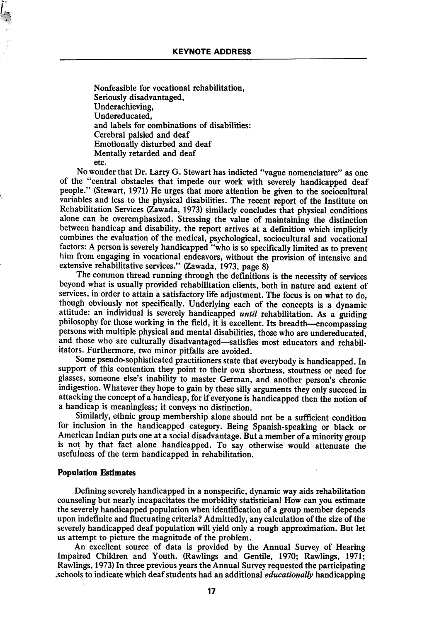Nonfeasible for vocational rehabilitation, Seriously disadvantaged, Underachieving, Undereducated, and labels for combinations of disabilities: Cerebral palsied and deaf Emotionally disturbed and deaf Mentally retarded and deaf etc.

No wonder that Dr. Larry G. Stewart has indicted "vague nomenclature" as one of the "central obstacles that impede our work with severely handicapped deaf people." (Stewart, 1971) He urges that more attention be given to the sociocultural variables and less to the physical disabilities. The recent report of the Institute on Rehabilitation Services (Zawada, 1973) similarly concludes that physical conditions alone can be overemphasized. Stressing the value of maintaining the distinction between handicap and disability, the report arrives at a definition which implicitly combines the evaluation of the medical, psychological, sociocultural and vocational factors: A person is severely handicapped "who is so specifically limited as to prevent him from engaging in vocational endeavors, without the provision of intensive and extensive rehabilitative services." (Zawada, 1973, page 8)

The common thread running through the definitions is the necessity of services beyond what is usually provided rehabilitation clients, both in nature and extent of services, in order to attain a satisfactory life adjustment. The focus is on what to do, though obviously not specifically. Underlying each of the concepts is a dynamic attitude: an individual is severely handicapped *until* rehabilitation. As a guiding philosophy for those working in the field, it is excellent. Its breadth—encompassing persons with multiple physical and mental disabilities, those who are undereducated, and those who are culturally disadvantaged—satisfies most educators and rehabilitators. Furthermore, two minor pitfalls are avoided.

Some pseudo-sophisticated practitioners state that everybody is handicapped. In support of this contention they point to their own shortness, stoutness or need for glasses, someone else's inability to master German, and another person's chronic indigestion. Whatever they hope to gain by these silly arguments they only succeed in attacking the concept of a handicap, for if everyone is handicapped then the notion of a handicap is meaningless; it conveys no distinction.

Similarly, ethnic group membership alone should not be a sufficient condition for inclusion in the handicapped category. Being Spanish-speaking or black or American Indian puts one at a social disadvantage. But a member of a minority group is not by that fact alone handicapped. To say otherwise would attenuate the usefulness of the term handicapped in rehabilitation.

#### Population Estimates

Defining severely handicapped in a nonspecific, dynamic way aids rehabilitation counseling but nearly incapacitates the morbidity statistician! How can you estimate the severely handicapped population when identification of a group member depends upon indefinite and fluctuating criteria? Admittedly, any calculation of the size of the severely handicapped deaf population will yield only a rough approximation. But let us attempt to picture the magnitude of the problem.

An excellent source of data is provided by the Annual Survey of Hearing Impaired Children and Youth. (Rawlings and Gentile, 1970; Rawlings, 1971; Rawlings, 1973) In three previous years the Annual Survey requested the participating .schools to indicate which deaf students had an additional educationally handicapping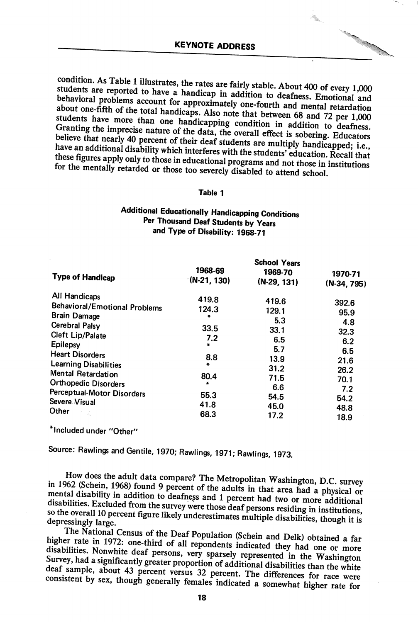÷.

condition. As Table 1 illustrates, the rates are fairly stable. About 400 of every 1,000 students are reported to have a handicap in addition to deafness. Emotional and behavioral problems account for approximately one-fo these figures apply only to those in educational programs and not those in institutions for the mentally retarded or those too severely disabled to attend school.

#### Table 1

# Additional Educationally Handicapping Conditions Per Thousand Deaf Students by Years and Type of Disability: 1968-71

|                                                        | <b>School Years</b>      |                          |                          |  |
|--------------------------------------------------------|--------------------------|--------------------------|--------------------------|--|
| <b>Type of Handicap</b>                                | 1968-69<br>$(N-21, 130)$ | 1969-70<br>$(N-29, 131)$ | 1970-71<br>$(N-34, 795)$ |  |
| All Handicaps                                          | 419.8                    | 419.6                    | 392.6                    |  |
| <b>Behavioral/Emotional Problems</b>                   | 124.3                    | 129.1                    | 95.9                     |  |
| <b>Brain Damage</b><br><b>Cerebral Palsy</b>           | $\frac{1}{2}$            | 5.3                      | 4.8                      |  |
| Cleft Lip/Palate                                       | 33.5<br>7.2              | 33.1<br>6.5              | 32.3                     |  |
| Epilepsy                                               | ₩.                       | 5.7                      | 6.2<br>6.5               |  |
| <b>Heart Disorders</b><br><b>Learning Disabilities</b> | 8.8<br>÷                 | 13.9                     | 21.6                     |  |
| Mental Retardation                                     | 80.4                     | 31.2                     | 26.2                     |  |
| <b>Orthopedic Disorders</b>                            | $\star$                  | 71.5<br>6.6              | 70.1                     |  |
| Perceptual-Motor Disorders                             | 55.3                     | 54.5                     | 7.2<br>54.2              |  |
| Severe Visual<br>Other                                 | 41.8                     | 45.0                     | 48.8                     |  |
|                                                        | 68.3                     | 17.2                     | 18.9                     |  |

\* Included under "Other"

Source: Rawlings and Gentile, 1970; Rawlings, 1971; Rawlings, 1973.

in 1962 (Schein, 1968) found 9 percent of the adults in that area had a physical or mental disability in addition to deafness and 1 percent had two or more adHifth mental disability in addition to deafness and 1 percent had two or more additional disabilities. Excluded from the survey were those deaf persons residing in institutions, so the overall 10 percent figure likely underestim depressingly large.

The National Census of the Deaf Population (Schein and Delk) obtained a far<br>higher rate in 1972: one-third of all repondents indicated they had one or more disabilities. Nonwhite deaf persons, very sparsely represented in the Washington Survey, had a significantly greater proportion of additional disabilities than the white deaf sample, about 43 percent versus 32 percent. The differences for race were consistent by sex, though generally females indicated a somewhat higher rate for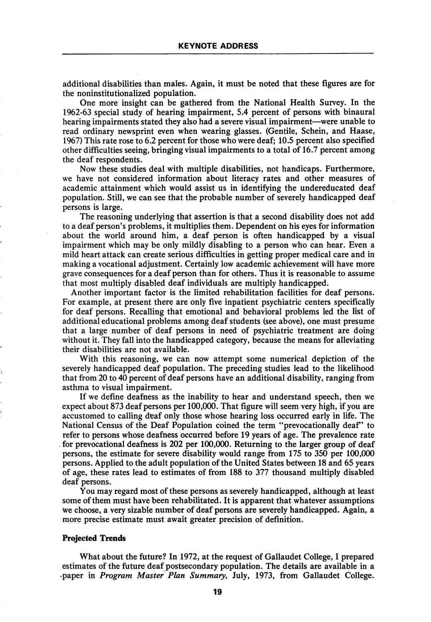additional disabilities than males. Again, it must be noted that these figures are for the noninstitutionalized population.

One more insight can be gathered from the National Health Survey. In the 1962-63 special study of hearing impairment, 5.4 percent of persons with binaural hearing impairments stated they also had a severe visual impairment—were unable to read ordinary newsprint even when wearing glasses. (Gentile, Schein, and Haase, 1967) This rate rose to 6.2 percent for those who were deaf; 10.5 percent also specified other difficulties seeing, bringing visual impairments to a total of 16.7 percent among the deaf respondents.

Now these studies deal with multiple disabilities, not handicaps. Furthermore, we have not considered information about literacy rates and other measures of academic attainment which would assist us in identifying the undereducated deaf population. Still, we can see that the probable number of severely handicapped deaf persons is large.

The reasoning underlying that assertion is that a second disability does not add to a deaf person's problems, it multiplies them. Dependent on his eyes for information about the world around him, a deaf person is often handicapped by a visual impairment which may be only mildly disabling to a person who can hear. Even a mild heart attack can create serious difficulties in getting proper medical care and in making a vocational adjustment. Certainly low academic achievement will have more grave consequences for a deaf person than for others. Thus it is reasonable to assume that most multiply disabled deaf individuals are multiply handicapped.

Another important factor is the limited rehabilitation facilities for deaf persons. For example, at present there are only five inpatient psychiatric centers specifically for deaf persons. Recalling that emotional and behavioral problems led the list of additional educational problems among deaf students (see above), one must presume that a large number of deaf persons in need of psychiatric treatment are doing without it. They fall into the handicapped category, because the means for alleviating their disabilities are not available.

With this reasoning, we can now attempt some numerical depiction of the severely handicapped deaf population. The preceding studies lead to the likelihood that from 20 to 40 percent of deaf persons have an additional disability, ranging from asthma to visual impairment.

If we define deafness as the inability to hear and understand speech, then we expect about 873 deaf persons per 100,000. That figure will seem very high, if you are accustomed to calling deaf only those whose hearing loss occurred early in life. The National Census of the Deaf Population coined the term "prevocationally deaf" to refer to persons whose deafness occurred before 19 years of age. The prevalence rate for prevocational deafness is 202 per 100,000. Returning to the larger group of deaf persons, the estimate for severe disability would range from 175 to 350 per 100,000 persons. Applied to the adult population of the United States between 18 and 65 years of age, these rates lead to estimates of from 188 to 377 thousand multiply disabled deaf persons.

You may regard most of these persons as severely handicapped, although at least some of them must have been rehabilitated. It is apparent that whatever assumptions we choose, a very sizable number of deaf persons are severely handicapped. Again, a more precise estimate must await greater precision of definition.

#### Projected Trends

What about the future? In 1972, at the request of Gallaudet College, I prepared estimates of the future deaf postsecondary population. The details are available in a paper in Program Master Plan Summary, July, 1973, from Gallaudet College.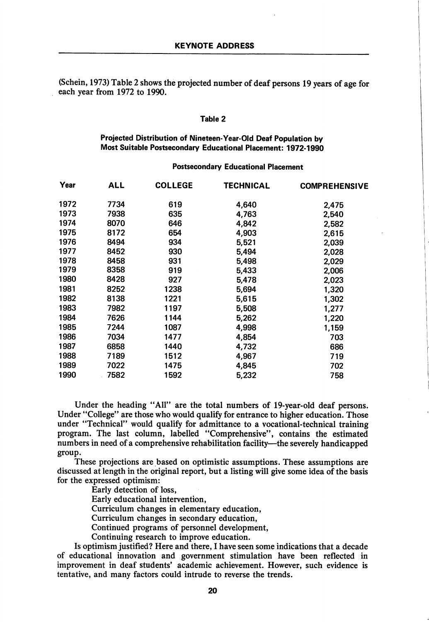(Schein, 1973) Table 2 shows the projected number of deaf persons 19 years of age for each year from 1972 to 1990.

#### Table 2

## Projected Distribution of Nineteen-Vear-OId Deaf Population by Most Suitable Postsecondary Educational Placement: 1972-1990

### Postsecondary Educational Placement

| Year | ALL  | <b>COLLEGE</b> | TECHNICAL | <b>COMPREHENSIVE</b> |
|------|------|----------------|-----------|----------------------|
| 1972 | 7734 | 619            | 4,640     | 2,475                |
| 1973 | 7938 | 635            | 4,763     | 2,540                |
| 1974 | 8070 | 646            | 4,842     | 2,582                |
| 1975 | 8172 | 654            | 4,903     | 2,615                |
| 1976 | 8494 | 934            | 5,521     | 2,039                |
| 1977 | 8452 | 930            | 5,494     | 2,028                |
| 1978 | 8458 | 931            | 5,498     | 2,029                |
| 1979 | 8358 | 919            | 5,433     | 2,006                |
| 1980 | 8428 | 927            | 5,478     | 2,023                |
| 1981 | 8252 | 1238           | 5,694     | 1,320                |
| 1982 | 8138 | 1221           | 5,615     | 1,302                |
| 1983 | 7982 | 1197           | 5,508     | 1,277                |
| 1984 | 7626 | 1144           | 5,262     | 1,220                |
| 1985 | 7244 | 1087           | 4,998     | 1,159                |
| 1986 | 7034 | 1477           | 4,854     | 703                  |
| 1987 | 6858 | 1440           | 4,732     | 686                  |
| 1988 | 7189 | 1512           | 4,967     | 719                  |
| 1989 | 7022 | 1475           | 4,845     | 702                  |
| 1990 | 7582 | 1592           | 5,232     | 758                  |

Under the heading "All" are the total numbers of 19-year-old deaf persons. Under "College" are those who would qualify for entrance to higher education. Those under "Technical" would qualify for admittance to a vocational-technical training program. The last column, labelled "Comprehensive", contains the estimated numbers in need of a comprehensive rehabilitation facility—^the severely handicapped group.

These projections are based on optimistic assumptions. These assumptions are discussed at length in the original report, but a listing will give some idea of the basis for the expressed optimism:

Early detection of loss.

Early educational intervention.

Curriculum changes in elementary education.

Curriculum changes in secondary education.

Continued programs of personnel development.

Continuing research to improve education.

Is optimism justified? Here and there, I have seen some indications that a decade of educational innovation and government stimulation have been reflected in improvement in deaf students' academic achievement. However, such evidence is tentative, and many factors could intrude to reverse the trends.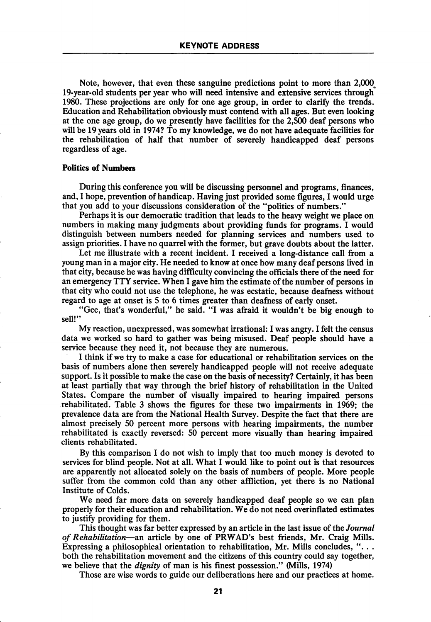Note, however, that even these sanguine predictions point to more than 2,000^ 19-year-old students per year who will need intensive and extensive services through 1980. These projections are only for one age group, in order to clarify the trends. Education and Rehabilitation obviously must contend with all ages. But even looking at the one age group, do we presently have facilities for the 2,500 deaf persons who will be 19 years old in 1974? To my knowledge, we do not have adequate facilities for the rehabilitation of half that number of severely handicapped deaf persons regardless of age.

#### Politics of Numbers

During this conference you will be discussing personnel and programs, finances, and, I hope, prevention of handicap. Having just provided some figures, I would urge that you add to your discussions consideration of the "politics of numbers."

Perhaps it is our democratic tradition that leads to the heavy weight we place on numbers in making many judgments about providing funds for programs. I would distinguish between numbers needed for planning services and numbers used to assign priorities. I have no quarrel with the former, but grave doubts about the latter.

Let me illustrate with a recent incident. I received a long-distance call from a young man in a major city. He needed to know at once how many deaf persons lived in that city, because he was having difficulty convincing the officials there of the need for an emergency TTY service. When I gave him the estimate of the number of persons in that city who could not use the telephone, he was ecstatic, because deafness without regard to age at onset is 5 to 6 times greater than deafness of early onset.

"Gee, that's wonderful," he said. "I was afraid it wouldn't be big enough to sell!"

My reaction, unexpressed, was somewhat irrational: I was angry. I felt the census data we worked so hard to gather was being misused. Deaf people should have a service because they need it, not because they are numerous.

I think if we try to make a case for educational or rehabilitation services on the basis of numbers alone then severely handicapped people will not receive adequate support. Is it possible to make the case on the basis of necessity? Certainly, it has been at least partially that way through the brief history of rehabilitation in the United States. Compare the number of visually impaired to hearing impaired persons rehabilitated. Table 3 shows the figures for these two impairments in 1969; the prevalence data are from the National Health Survey. Despite the fact that there are almost precisely 50 percent more persons with hearing impairments, the number rehabilitated is exactly reversed: 50 percent more visually than hearing impaired clients rehabilitated.

By this comparison I do not wish to imply that too much money is devoted to services for blind people. Not at all. What I would like to point out is that resources are apparently not allocated solely on the basis of numbers of people. More people suffer from the common cold than any other affliction, yet there is no National Institute of Colds.

We need far more data on severely handicapped deaf people so we can plan properly for their education and rehabilitation. We do not need overinflated estimates to justify providing for them.

This thought was far better expressed by an article in the last issue of the *Journal* of Rehabilitation—an article by one of PRWAD's best friends, Mr. Craig Mills. Expressing a philosophical orientation to rehabilitation, Mr. Mills concludes, " $\dots$ both the rehabilitation movement and the citizens of this country could say together, we believe that the *dignity* of man is his finest possession." (Mills, 1974)

Those are wise words to guide our deliberations here and our practices at home.